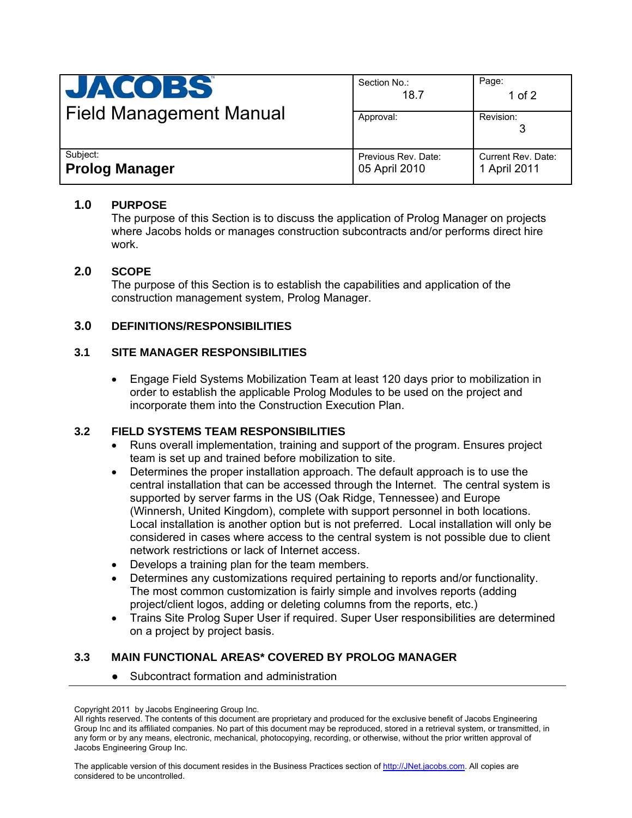| <b>JACOBS</b><br><b>Field Management Manual</b> | Section No.:<br>18.7                 | Page:<br>1 of $2$                  |
|-------------------------------------------------|--------------------------------------|------------------------------------|
|                                                 | Approval:                            | Revision:                          |
| Subject:<br><b>Prolog Manager</b>               | Previous Rev. Date:<br>05 April 2010 | Current Rev. Date:<br>1 April 2011 |

## **1.0 PURPOSE**

The purpose of this Section is to discuss the application of Prolog Manager on projects where Jacobs holds or manages construction subcontracts and/or performs direct hire work.

## **2.0 SCOPE**

The purpose of this Section is to establish the capabilities and application of the construction management system, Prolog Manager.

## **3.0 DEFINITIONS/RESPONSIBILITIES**

## **3.1 SITE MANAGER RESPONSIBILITIES**

• Engage Field Systems Mobilization Team at least 120 days prior to mobilization in order to establish the applicable Prolog Modules to be used on the project and incorporate them into the Construction Execution Plan.

## **3.2 FIELD SYSTEMS TEAM RESPONSIBILITIES**

- Runs overall implementation, training and support of the program. Ensures project team is set up and trained before mobilization to site.
- Determines the proper installation approach. The default approach is to use the central installation that can be accessed through the Internet. The central system is supported by server farms in the US (Oak Ridge, Tennessee) and Europe (Winnersh, United Kingdom), complete with support personnel in both locations. Local installation is another option but is not preferred. Local installation will only be considered in cases where access to the central system is not possible due to client network restrictions or lack of Internet access.
- Develops a training plan for the team members.
- Determines any customizations required pertaining to reports and/or functionality. The most common customization is fairly simple and involves reports (adding project/client logos, adding or deleting columns from the reports, etc.)
- Trains Site Prolog Super User if required. Super User responsibilities are determined on a project by project basis.

## **3.3 MAIN FUNCTIONAL AREAS\* COVERED BY PROLOG MANAGER**

Subcontract formation and administration

The applicable version of this document resides in the Business Practices section of http://JNet.jacobs.com. All copies are considered to be uncontrolled.

Copyright 2011 by Jacobs Engineering Group Inc.

All rights reserved. The contents of this document are proprietary and produced for the exclusive benefit of Jacobs Engineering Group Inc and its affiliated companies. No part of this document may be reproduced, stored in a retrieval system, or transmitted, in any form or by any means, electronic, mechanical, photocopying, recording, or otherwise, without the prior written approval of Jacobs Engineering Group Inc.